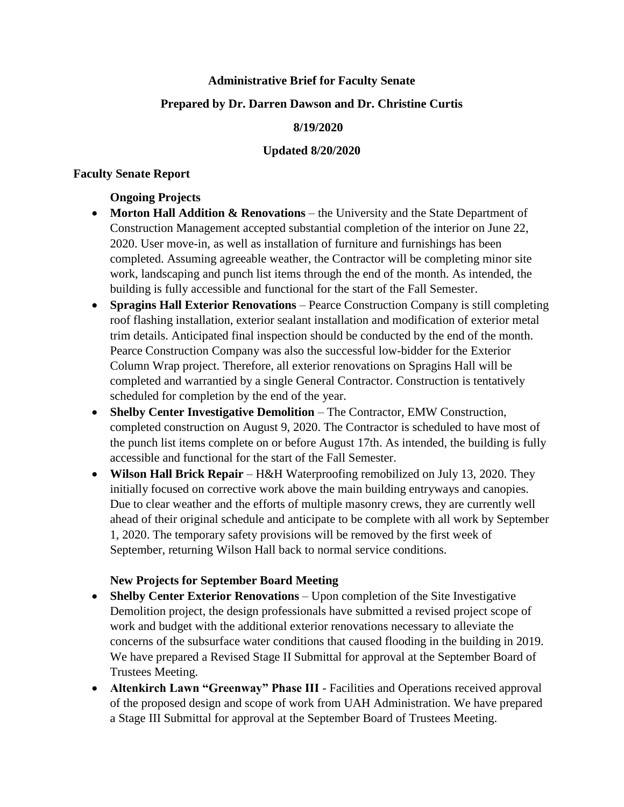## **Administrative Brief for Faculty Senate**

## **Prepared by Dr. Darren Dawson and Dr. Christine Curtis**

### **8/19/2020**

### **Updated 8/20/2020**

### **Faculty Senate Report**

# **Ongoing Projects**

- **Morton Hall Addition & Renovations** the University and the State Department of Construction Management accepted substantial completion of the interior on June 22, 2020. User move-in, as well as installation of furniture and furnishings has been completed. Assuming agreeable weather, the Contractor will be completing minor site work, landscaping and punch list items through the end of the month. As intended, the building is fully accessible and functional for the start of the Fall Semester.
- **Spragins Hall Exterior Renovations** Pearce Construction Company is still completing roof flashing installation, exterior sealant installation and modification of exterior metal trim details. Anticipated final inspection should be conducted by the end of the month. Pearce Construction Company was also the successful low-bidder for the Exterior Column Wrap project. Therefore, all exterior renovations on Spragins Hall will be completed and warrantied by a single General Contractor. Construction is tentatively scheduled for completion by the end of the year.
- **Shelby Center Investigative Demolition** The Contractor, EMW Construction, completed construction on August 9, 2020. The Contractor is scheduled to have most of the punch list items complete on or before August 17th. As intended, the building is fully accessible and functional for the start of the Fall Semester.
- **Wilson Hall Brick Repair** H&H Waterproofing remobilized on July 13, 2020. They initially focused on corrective work above the main building entryways and canopies. Due to clear weather and the efforts of multiple masonry crews, they are currently well ahead of their original schedule and anticipate to be complete with all work by September 1, 2020. The temporary safety provisions will be removed by the first week of September, returning Wilson Hall back to normal service conditions.

# **New Projects for September Board Meeting**

- **Shelby Center Exterior Renovations** Upon completion of the Site Investigative Demolition project, the design professionals have submitted a revised project scope of work and budget with the additional exterior renovations necessary to alleviate the concerns of the subsurface water conditions that caused flooding in the building in 2019. We have prepared a Revised Stage II Submittal for approval at the September Board of Trustees Meeting.
- **Altenkirch Lawn "Greenway" Phase III** Facilities and Operations received approval of the proposed design and scope of work from UAH Administration. We have prepared a Stage III Submittal for approval at the September Board of Trustees Meeting.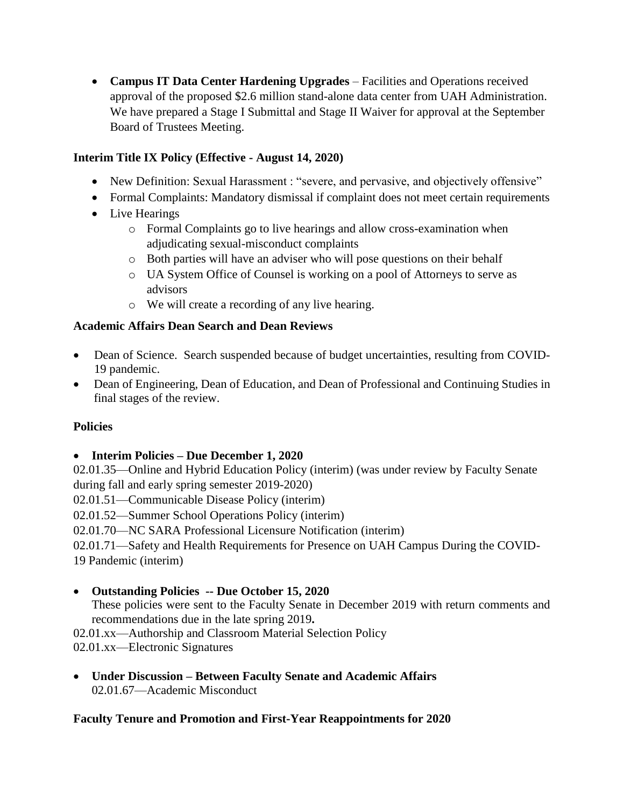**Campus IT Data Center Hardening Upgrades** – Facilities and Operations received approval of the proposed \$2.6 million stand-alone data center from UAH Administration. We have prepared a Stage I Submittal and Stage II Waiver for approval at the September Board of Trustees Meeting.

# **Interim Title IX Policy (Effective - August 14, 2020)**

- New Definition: Sexual Harassment : "severe, and pervasive, and objectively offensive"
- Formal Complaints: Mandatory dismissal if complaint does not meet certain requirements
- Live Hearings
	- o Formal Complaints go to live hearings and allow cross-examination when adjudicating sexual-misconduct complaints
	- o Both parties will have an adviser who will pose questions on their behalf
	- o UA System Office of Counsel is working on a pool of Attorneys to serve as advisors
	- o We will create a recording of any live hearing.

# **Academic Affairs Dean Search and Dean Reviews**

- Dean of Science. Search suspended because of budget uncertainties, resulting from COVID-19 pandemic.
- Dean of Engineering, Dean of Education, and Dean of Professional and Continuing Studies in final stages of the review.

# **Policies**

# **Interim Policies – Due December 1, 2020**

02.01.35—Online and Hybrid Education Policy (interim) (was under review by Faculty Senate during fall and early spring semester 2019-2020)

02.01.51—Communicable Disease Policy (interim)

- 02.01.52—Summer School Operations Policy (interim)
- 02.01.70—NC SARA Professional Licensure Notification (interim)

02.01.71—Safety and Health Requirements for Presence on UAH Campus During the COVID-19 Pandemic (interim)

# **Outstanding Policies -- Due October 15, 2020**

These policies were sent to the Faculty Senate in December 2019 with return comments and recommendations due in the late spring 2019**.** 

02.01.xx—Authorship and Classroom Material Selection Policy

02.01.xx—Electronic Signatures

 **Under Discussion – Between Faculty Senate and Academic Affairs** 02.01.67—Academic Misconduct

# **Faculty Tenure and Promotion and First-Year Reappointments for 2020**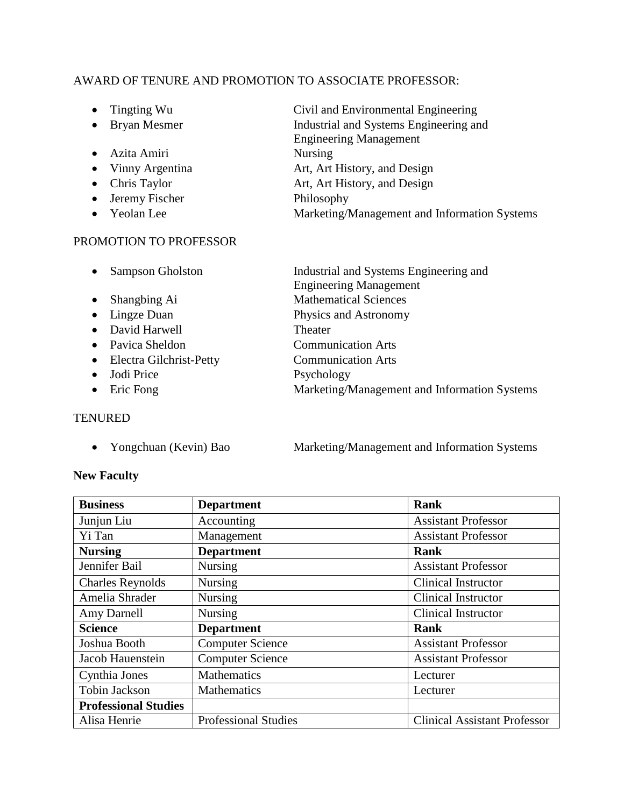## AWARD OF TENURE AND PROMOTION TO ASSOCIATE PROFESSOR:

- 
- 
- Azita Amiri Nursing
- 
- 
- Jeremy Fischer Philosophy
- 

## PROMOTION TO PROFESSOR

• Tingting Wu Civil and Environmental Engineering<br>• Bryan Mesmer Industrial and Systems Engineering and Industrial and Systems Engineering and Engineering Management • Vinny Argentina **Art, Art History, and Design** • Chris Taylor **Art, Art History, and Design** • Yeolan Lee Marketing/Management and Information Systems

|           | <b>Sampson Gholston</b>   | Industrial and Systems Engineering and       |
|-----------|---------------------------|----------------------------------------------|
|           |                           | <b>Engineering Management</b>                |
| $\bullet$ | Shangbing Ai              | <b>Mathematical Sciences</b>                 |
|           | $\bullet$ Lingze Duan     | Physics and Astronomy                        |
|           | • David Harwell           | Theater                                      |
|           | • Pavica Sheldon          | <b>Communication Arts</b>                    |
|           | • Electra Gilchrist-Petty | <b>Communication Arts</b>                    |
| $\bullet$ | Jodi Price                | Psychology                                   |
| $\bullet$ | Eric Fong                 | Marketing/Management and Information Systems |
|           |                           |                                              |

#### **TENURED**

• Yongchuan (Kevin) Bao Marketing/Management and Information Systems

#### **New Faculty**

| <b>Business</b>             | <b>Department</b>                        | Rank                                |  |
|-----------------------------|------------------------------------------|-------------------------------------|--|
| Junjun Liu                  | Accounting                               | <b>Assistant Professor</b>          |  |
| Yi Tan                      | Management<br><b>Assistant Professor</b> |                                     |  |
| <b>Nursing</b>              | <b>Department</b>                        | Rank                                |  |
| Jennifer Bail               | Nursing                                  | <b>Assistant Professor</b>          |  |
| <b>Charles Reynolds</b>     | Nursing                                  | <b>Clinical Instructor</b>          |  |
| Amelia Shrader              | Nursing                                  | <b>Clinical Instructor</b>          |  |
| Amy Darnell                 | Nursing                                  | Clinical Instructor                 |  |
| <b>Science</b>              | <b>Department</b>                        | <b>Rank</b>                         |  |
| Joshua Booth                | <b>Computer Science</b>                  | <b>Assistant Professor</b>          |  |
| Jacob Hauenstein            | <b>Computer Science</b>                  | <b>Assistant Professor</b>          |  |
| Cynthia Jones               | <b>Mathematics</b>                       | Lecturer                            |  |
| Tobin Jackson               | Mathematics                              | Lecturer                            |  |
| <b>Professional Studies</b> |                                          |                                     |  |
| Alisa Henrie                | <b>Professional Studies</b>              | <b>Clinical Assistant Professor</b> |  |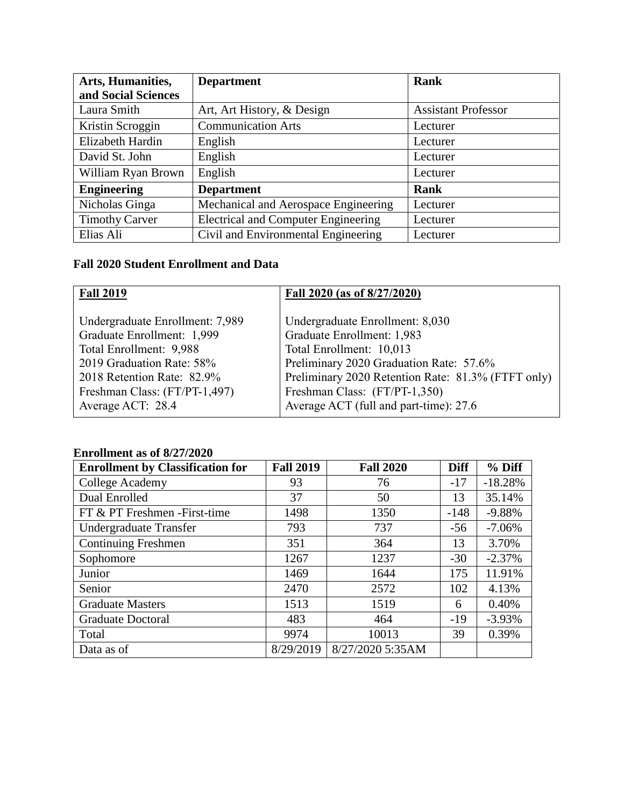| Arts, Humanities,     | <b>Department</b>                          | <b>Rank</b>                |  |
|-----------------------|--------------------------------------------|----------------------------|--|
| and Social Sciences   |                                            |                            |  |
| Laura Smith           | Art, Art History, & Design                 | <b>Assistant Professor</b> |  |
| Kristin Scroggin      | <b>Communication Arts</b>                  | Lecturer                   |  |
| Elizabeth Hardin      | English                                    | Lecturer                   |  |
| David St. John        | English                                    | Lecturer                   |  |
| William Ryan Brown    | English                                    | Lecturer                   |  |
| <b>Engineering</b>    | <b>Department</b>                          | <b>Rank</b>                |  |
| Nicholas Ginga        | Mechanical and Aerospace Engineering       | Lecturer                   |  |
| <b>Timothy Carver</b> | <b>Electrical and Computer Engineering</b> | Lecturer                   |  |
| Elias Ali             | Civil and Environmental Engineering        | Lecturer                   |  |

# **Fall 2020 Student Enrollment and Data**

| <b>Fall 2019</b>                | Fall 2020 (as of 8/27/2020)                        |
|---------------------------------|----------------------------------------------------|
| Undergraduate Enrollment: 7,989 | Undergraduate Enrollment: 8,030                    |
| Graduate Enrollment: 1,999      | Graduate Enrollment: 1,983                         |
| Total Enrollment: 9,988         | Total Enrollment: 10,013                           |
| 2019 Graduation Rate: 58%       | Preliminary 2020 Graduation Rate: 57.6%            |
| 2018 Retention Rate: 82.9%      | Preliminary 2020 Retention Rate: 81.3% (FTFT only) |
| Freshman Class: (FT/PT-1,497)   | Freshman Class: (FT/PT-1,350)                      |
| Average ACT: 28.4               | Average ACT (full and part-time): 27.6             |
|                                 |                                                    |

# **Enrollment as of 8/27/2020**

| <b>Enrollment by Classification for</b> | <b>Fall 2019</b> | <b>Fall 2020</b> | <b>Diff</b> | $%$ Diff  |
|-----------------------------------------|------------------|------------------|-------------|-----------|
| College Academy                         | 93               | 76               | $-17$       | $-18.28%$ |
| Dual Enrolled                           | 37               | 50               | 13          | 35.14%    |
| FT & PT Freshmen - First-time           | 1498             | 1350             | $-148$      | $-9.88%$  |
| Undergraduate Transfer                  | 793              | 737              | $-56$       | $-7.06%$  |
| <b>Continuing Freshmen</b>              | 351              | 364              | 13          | 3.70%     |
| Sophomore                               | 1267             | 1237             | $-30$       | $-2.37%$  |
| Junior                                  | 1469             | 1644             | 175         | 11.91%    |
| Senior                                  | 2470             | 2572             | 102         | 4.13%     |
| <b>Graduate Masters</b>                 | 1513             | 1519             | 6           | 0.40%     |
| <b>Graduate Doctoral</b>                | 483              | 464              | $-19$       | $-3.93%$  |
| Total                                   | 9974             | 10013            | 39          | 0.39%     |
| Data as of                              | 8/29/2019        | 8/27/2020 5:35AM |             |           |